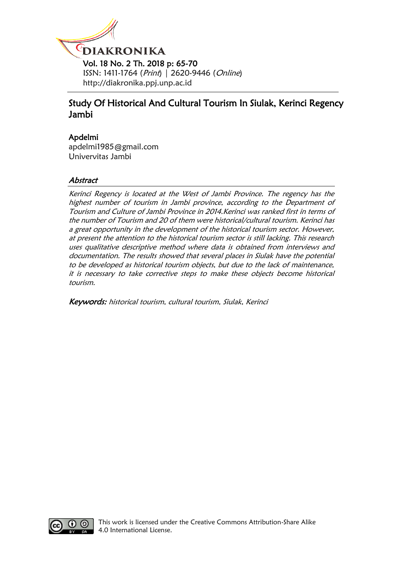

# Study Of Historical And Cultural Tourism In Siulak, Kerinci Regency Jambi

# Apdelmi

[apdelmi1985@gmail.com](mailto:apdelmi1985@gmail.com) Univervitas Jambi

# **Abstract**

Kerinci Regency is located at the West of Jambi Province. The regency has the highest number of tourism in Jambi province, according to the Department of Tourism and Culture of Jambi Province in 2014.Kerinci was ranked first in terms of the number of Tourism and 20 of them were historical/cultural tourism. Kerinci has a great opportunity in the development of the historical tourism sector. However, at present the attention to the historical tourism sector is still lacking. This research uses qualitative descriptive method where data is obtained from interviews and documentation. The results showed that several places in Siulak have the potential to be developed as historical tourism objects, but due to the lack of maintenance, it is necessary to take corrective steps to make these objects become historical tourism.

Keywords: historical tourism, cultural tourism, Siulak, Kerinci

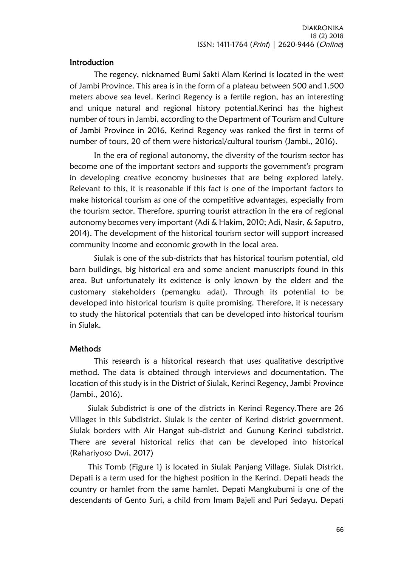### Introduction

The regency, nicknamed Bumi Sakti Alam Kerinci is located in the west of Jambi Province. This area is in the form of a plateau between 500 and 1.500 meters above sea level. Kerinci Regency is a fertile region, has an interesting and unique natural and regional history potential.Kerinci has the highest number of tours in Jambi, according to the Department of Tourism and Culture of Jambi Province in 2016, Kerinci Regency was ranked the first in terms of number of tours, 20 of them were historical/cultural tourism (Jambi., 2016).

In the era of regional autonomy, the diversity of the tourism sector has become one of the important sectors and supports the government's program in developing creative economy businesses that are being explored lately. Relevant to this, it is reasonable if this fact is one of the important factors to make historical tourism as one of the competitive advantages, especially from the tourism sector. Therefore, spurring tourist attraction in the era of regional autonomy becomes very important (Adi & Hakim, 2010; Adi, Nasir, & Saputro, 2014). The development of the historical tourism sector will support increased community income and economic growth in the local area.

Siulak is one of the sub-districts that has historical tourism potential, old barn buildings, big historical era and some ancient manuscripts found in this area. But unfortunately its existence is only known by the elders and the customary stakeholders (pemangku adat). Through its potential to be developed into historical tourism is quite promising. Therefore, it is necessary to study the historical potentials that can be developed into historical tourism in Siulak.

### **Methods**

This research is a historical research that uses qualitative descriptive method. The data is obtained through interviews and documentation. The location of this study is in the District of Siulak, Kerinci Regency, Jambi Province (Jambi., 2016).

Siulak Subdistrict is one of the districts in Kerinci Regency.There are 26 Villages in this Subdistrict. Siulak is the center of Kerinci district government. Siulak borders with Air Hangat sub-district and Gunung Kerinci subdistrict. There are several historical relics that can be developed into historical (Rahariyoso Dwi, 2017)

This Tomb (Figure 1) is located in Siulak Panjang Village, Siulak District. Depati is a term used for the highest position in the Kerinci. Depati heads the country or hamlet from the same hamlet. Depati Mangkubumi is one of the descendants of Gento Suri, a child from Imam Bajeli and Puri Sedayu. Depati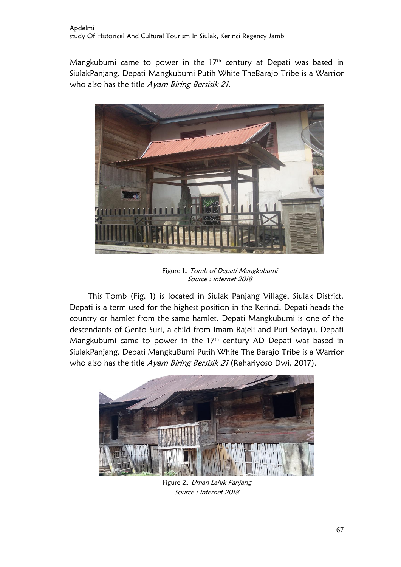Mangkubumi came to power in the 17<sup>th</sup> century at Depati was based in SiulakPanjang. Depati Mangkubumi Putih White TheBarajo Tribe is a Warrior who also has the title Ayam Biring Bersisik 21.



Figure 1. Tomb of Depati Mangkubumi Source : internet 2018

This Tomb (Fig. 1) is located in Siulak Panjang Village, Siulak District. Depati is a term used for the highest position in the Kerinci. Depati heads the country or hamlet from the same hamlet. Depati Mangkubumi is one of the descendants of Gento Suri, a child from Imam Bajeli and Puri Sedayu. Depati Mangkubumi came to power in the 17<sup>th</sup> century AD Depati was based in SiulakPanjang. Depati MangkuBumi Putih White The Barajo Tribe is a Warrior who also has the title Ayam Biring Bersisik 21 (Rahariyoso Dwi, 2017).



Figure 2. Umah Lahik Panjang Source : internet 2018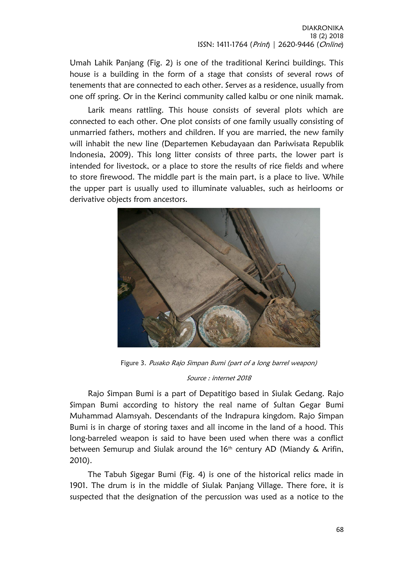Umah Lahik Panjang (Fig. 2) is one of the traditional Kerinci buildings. This house is a building in the form of a stage that consists of several rows of tenements that are connected to each other. Serves as a residence, usually from one off spring. Or in the Kerinci community called kalbu or one ninik mamak.

Larik means rattling. This house consists of several plots which are connected to each other. One plot consists of one family usually consisting of unmarried fathers, mothers and children. If you are married, the new family will inhabit the new line (Departemen Kebudayaan dan Pariwisata Republik Indonesia, 2009). This long litter consists of three parts, the lower part is intended for livestock, or a place to store the results of rice fields and where to store firewood. The middle part is the main part, is a place to live. While the upper part is usually used to illuminate valuables, such as heirlooms or derivative objects from ancestors.



Figure 3. Pusako Rajo Simpan Bumi (part of a long barrel weapon)

#### Source : internet 2018

Rajo Simpan Bumi is a part of Depatitigo based in Siulak Gedang. Rajo Simpan Bumi according to history the real name of Sultan Gegar Bumi Muhammad Alamsyah. Descendants of the Indrapura kingdom. Rajo Simpan Bumi is in charge of storing taxes and all income in the land of a hood. This long-barreled weapon is said to have been used when there was a conflict between Semurup and Siulak around the  $16<sup>th</sup>$  century AD (Miandy & Arifin, 2010).

The Tabuh Sigegar Bumi (Fig. 4) is one of the historical relics made in 1901. The drum is in the middle of Siulak Panjang Village. There fore, it is suspected that the designation of the percussion was used as a notice to the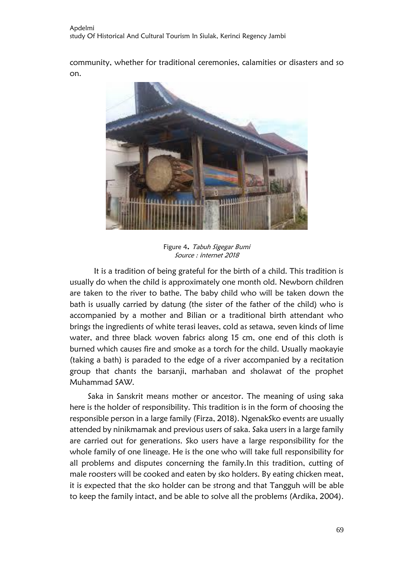community, whether for traditional ceremonies, calamities or disasters and so on.



Figure 4. Tabuh Sigegar Bumi Source : internet 2018

It is a tradition of being grateful for the birth of a child. This tradition is usually do when the child is approximately one month old. Newborn children are taken to the river to bathe. The baby child who will be taken down the bath is usually carried by datung (the sister of the father of the child) who is accompanied by a mother and Bilian or a traditional birth attendant who brings the ingredients of white terasi leaves, cold as setawa, seven kinds of lime water, and three black woven fabrics along 15 cm, one end of this cloth is burned which causes fire and smoke as a torch for the child. Usually maokayie (taking a bath) is paraded to the edge of a river accompanied by a recitation group that chants the barsanji, marhaban and sholawat of the prophet Muhammad SAW.

Saka in Sanskrit means mother or ancestor. The meaning of using saka here is the holder of responsibility. This tradition is in the form of choosing the responsible person in a large family (Firza, 2018). NgenakSko events are usually attended by ninikmamak and previous users of saka. Saka users in a large family are carried out for generations. Sko users have a large responsibility for the whole family of one lineage. He is the one who will take full responsibility for all problems and disputes concerning the family.In this tradition, cutting of male roosters will be cooked and eaten by sko holders. By eating chicken meat, it is expected that the sko holder can be strong and that Tangguh will be able to keep the family intact, and be able to solve all the problems (Ardika, 2004).